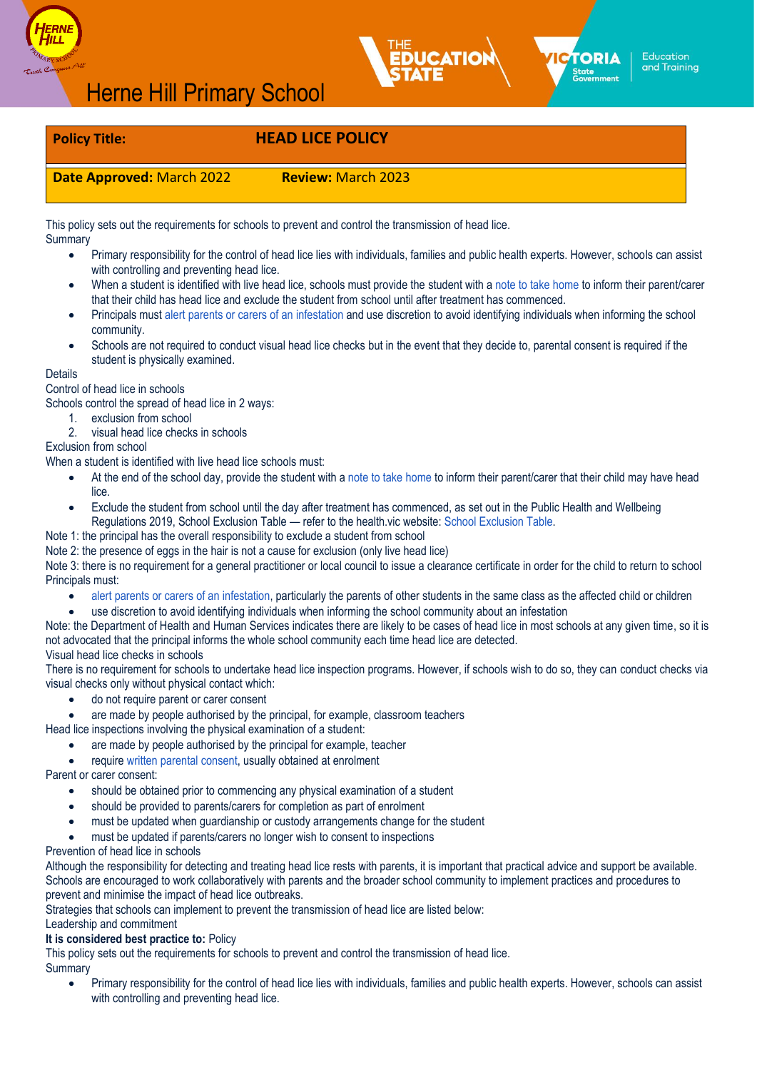





**TORIA** 

State<br>Government

# **Policy Title: HEAD LICE POLICY**

**Date Approved:** March 2022 **Review:** March 2023

This policy sets out the requirements for schools to prevent and control the transmission of head lice. **Summary** 

- Primary responsibility for the control of head lice lies with individuals, families and public health experts. However, schools can assist with controlling and preventing head lice.
- When a student is identified with live head lice, schools must provide the student with a [note to take](https://content.sdp.education.vic.gov.au/sites/default/files/2020-07/Head-lice-action-taken-template.docx) home to inform their parent/carer that their child has head lice and exclude the student from school until after treatment has commenced.
- Principals must [alert parents or carers of an](https://content.sdp.education.vic.gov.au/sites/default/files/2020-07/head-lice-alert-notice-template.docx) infestation and use discretion to avoid identifying individuals when informing the school community.
- Schools are not required to conduct visual head lice checks but in the event that they decide to, parental consent is required if the student is physically examined.

#### Details

Control of head lice in schools

Schools control the spread of head lice in 2 ways:

- 1. exclusion from school
- 2. visual head lice checks in schools

## Exclusion from school

When a student is identified with live head lice schools must:

- At the end of the school day, provide the student with a [note to take](https://content.sdp.education.vic.gov.au/sites/default/files/2020-07/Head-lice-action-taken-template.docx) home to inform their parent/carer that their child may have head lice.
- Exclude the student from school until the day after treatment has commenced, as set out in the Public Health and Wellbeing Regulations 2019, School Exclusion Table — refer to the health.vic website: [School Exclusion](https://www2.health.vic.gov.au/public-health/infectious-diseases/school-exclusion/school-exclusion-table) Table.

Note 1: the principal has the overall responsibility to exclude a student from school

Note 2: the presence of eggs in the hair is not a cause for exclusion (only live head lice)

Note 3: there is no requirement for a general practitioner or local council to issue a clearance certificate in order for the child to return to school Principals must:

- [alert parents or carers of an](https://content.sdp.education.vic.gov.au/sites/default/files/2020-07/head-lice-alert-notice-template.docx) infestation, particularly the parents of other students in the same class as the affected child or children
- use discretion to avoid identifying individuals when informing the school community about an infestation

Note: the Department of Health and Human Services indicates there are likely to be cases of head lice in most schools at any given time, so it is not advocated that the principal informs the whole school community each time head lice are detected.

Visual head lice checks in schools

There is no requirement for schools to undertake head lice inspection programs. However, if schools wish to do so, they can conduct checks via visual checks only without physical contact which:

- do not require parent or carer consent
- are made by people authorised by the principal, for example, classroom teachers
- Head lice inspections involving the physical examination of a student:
	- are made by people authorised by the principal for example, teacher
	- require [written parental](https://content.sdp.education.vic.gov.au/sites/default/files/2020-07/Head-lice-consent-form-template.docx) consent, usually obtained at enrolment

Parent or carer consent:

- should be obtained prior to commencing any physical examination of a student
- should be provided to parents/carers for completion as part of enrolment
- must be updated when guardianship or custody arrangements change for the student
- must be updated if parents/carers no longer wish to consent to inspections

# Prevention of head lice in schools

Although the responsibility for detecting and treating head lice rests with parents, it is important that practical advice and support be available. Schools are encouraged to work collaboratively with parents and the broader school community to implement practices and procedures to prevent and minimise the impact of head lice outbreaks.

Strategies that schools can implement to prevent the transmission of head lice are listed below:

Leadership and commitment

# **It is considered best practice to:** Policy

This policy sets out the requirements for schools to prevent and control the transmission of head lice. **Summary** 

• Primary responsibility for the control of head lice lies with individuals, families and public health experts. However, schools can assist with controlling and preventing head lice.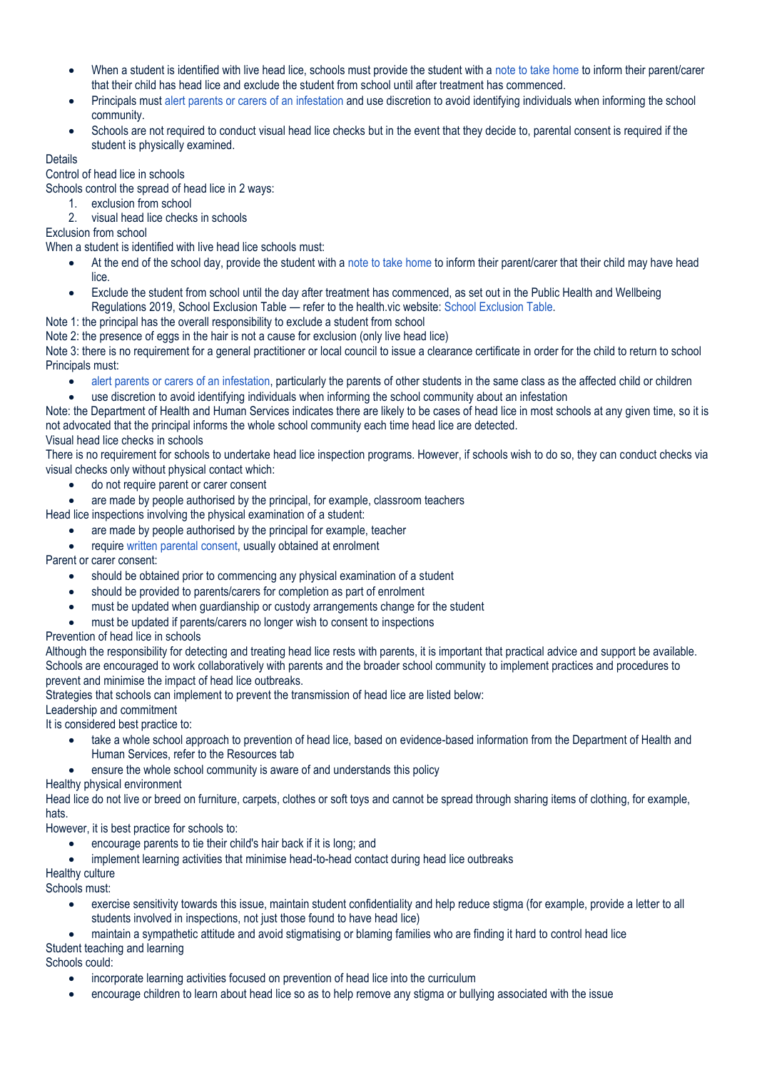- When a student is identified with live head lice, schools must provide the student with a [note to take](https://content.sdp.education.vic.gov.au/sites/default/files/2020-07/Head-lice-action-taken-template.docx) home to inform their parent/carer that their child has head lice and exclude the student from school until after treatment has commenced.
- Principals must [alert parents or carers of an](https://content.sdp.education.vic.gov.au/sites/default/files/2020-07/head-lice-alert-notice-template.docx) infestation and use discretion to avoid identifying individuals when informing the school community.
- Schools are not required to conduct visual head lice checks but in the event that they decide to, parental consent is required if the student is physically examined.

# Details

## Control of head lice in schools

Schools control the spread of head lice in 2 ways:

- 1. exclusion from school
- 2. visual head lice checks in schools

Exclusion from school

When a student is identified with live head lice schools must:

- At the end of the school day, provide the student with a [note to take](https://content.sdp.education.vic.gov.au/sites/default/files/2020-07/Head-lice-action-taken-template.docx) home to inform their parent/carer that their child may have head lice.
- Exclude the student from school until the day after treatment has commenced, as set out in the Public Health and Wellbeing Regulations 2019, School Exclusion Table — refer to the health.vic website: [School Exclusion](https://www2.health.vic.gov.au/public-health/infectious-diseases/school-exclusion/school-exclusion-table) Table.

Note 1: the principal has the overall responsibility to exclude a student from school

Note 2: the presence of eggs in the hair is not a cause for exclusion (only live head lice)

Note 3: there is no requirement for a general practitioner or local council to issue a clearance certificate in order for the child to return to school Principals must:

• [alert parents or carers of an](https://content.sdp.education.vic.gov.au/sites/default/files/2020-07/head-lice-alert-notice-template.docx) infestation, particularly the parents of other students in the same class as the affected child or children

• use discretion to avoid identifying individuals when informing the school community about an infestation

Note: the Department of Health and Human Services indicates there are likely to be cases of head lice in most schools at any given time, so it is not advocated that the principal informs the whole school community each time head lice are detected.

Visual head lice checks in schools

There is no requirement for schools to undertake head lice inspection programs. However, if schools wish to do so, they can conduct checks via visual checks only without physical contact which:

- do not require parent or carer consent
- are made by people authorised by the principal, for example, classroom teachers

Head lice inspections involving the physical examination of a student:

- are made by people authorised by the principal for example, teacher
- require [written parental](https://content.sdp.education.vic.gov.au/sites/default/files/2020-07/Head-lice-consent-form-template.docx) consent, usually obtained at enrolment

Parent or carer consent:

- should be obtained prior to commencing any physical examination of a student
- should be provided to parents/carers for completion as part of enrolment
- must be updated when guardianship or custody arrangements change for the student
- must be updated if parents/carers no longer wish to consent to inspections

Prevention of head lice in schools

Although the responsibility for detecting and treating head lice rests with parents, it is important that practical advice and support be available. Schools are encouraged to work collaboratively with parents and the broader school community to implement practices and procedures to prevent and minimise the impact of head lice outbreaks.

Strategies that schools can implement to prevent the transmission of head lice are listed below:

Leadership and commitment

It is considered best practice to:

- take a whole school approach to prevention of head lice, based on evidence-based information from the Department of Health and Human Services, refer to the Resources tab
- ensure the whole school community is aware of and understands this policy

Healthy physical environment

Head lice do not live or breed on furniture, carpets, clothes or soft toys and cannot be spread through sharing items of clothing, for example, hats.

However, it is best practice for schools to:

- encourage parents to tie their child's hair back if it is long; and
- implement learning activities that minimise head-to-head contact during head lice outbreaks

Healthy culture

Schools must:

• exercise sensitivity towards this issue, maintain student confidentiality and help reduce stigma (for example, provide a letter to all students involved in inspections, not just those found to have head lice)

• maintain a sympathetic attitude and avoid stigmatising or blaming families who are finding it hard to control head lice

Student teaching and learning Schools could:

- incorporate learning activities focused on prevention of head lice into the curriculum
- encourage children to learn about head lice so as to help remove any stigma or bullying associated with the issue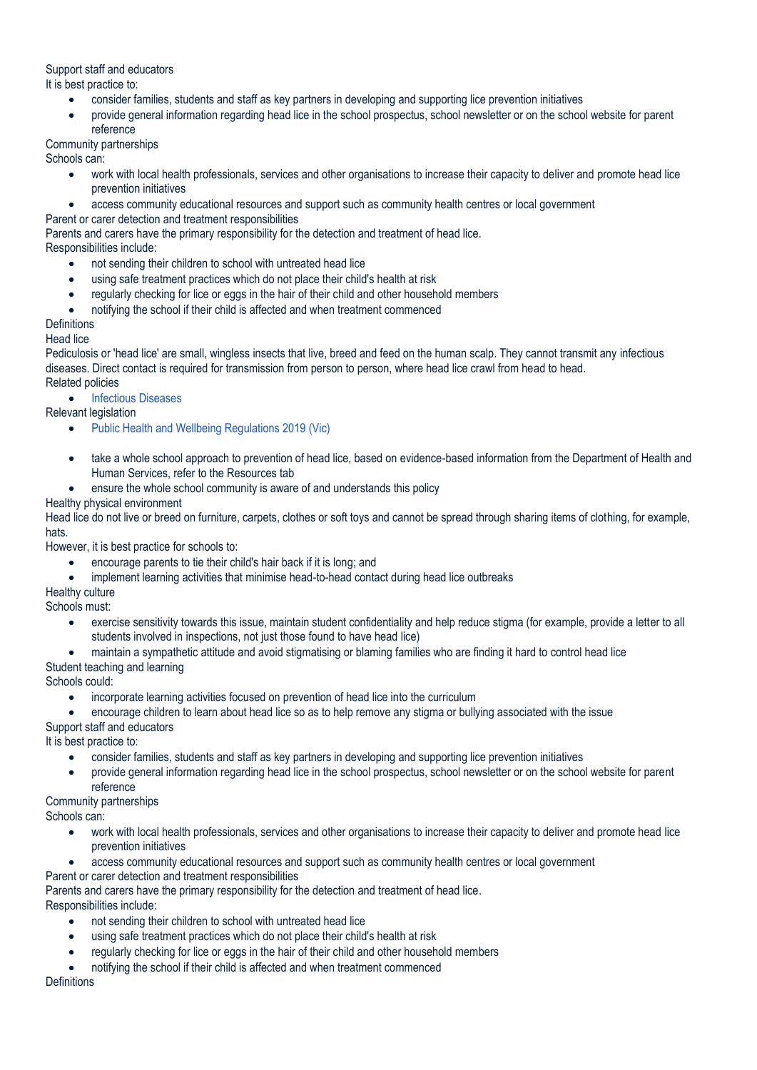## Support staff and educators

It is best practice to:

- consider families, students and staff as key partners in developing and supporting lice prevention initiatives
- provide general information regarding head lice in the school prospectus, school newsletter or on the school website for parent reference

# Community partnerships

Schools can:

- work with local health professionals, services and other organisations to increase their capacity to deliver and promote head lice prevention initiatives
- access community educational resources and support such as community health centres or local government
- Parent or carer detection and treatment responsibilities

Parents and carers have the primary responsibility for the detection and treatment of head lice. Responsibilities include:

- not sending their children to school with untreated head lice
- using safe treatment practices which do not place their child's health at risk
- regularly checking for lice or eggs in the hair of their child and other household members
- notifying the school if their child is affected and when treatment commenced

## **Definitions**

#### Head lice

Pediculosis or 'head lice' are small, wingless insects that live, breed and feed on the human scalp. They cannot transmit any infectious diseases. Direct contact is required for transmission from person to person, where head lice crawl from head to head. Related policies

• [Infectious Diseases](https://www2.education.vic.gov.au/pal/infectious-diseases/policy)

# Relevant legislation

- [Public Health and Wellbeing Regulations 2019](https://www.legislation.vic.gov.au/in-force/statutory-rules/public-health-and-wellbeing-regulations-2019) (Vic)
- take a whole school approach to prevention of head lice, based on evidence-based information from the Department of Health and Human Services, refer to the Resources tab
- ensure the whole school community is aware of and understands this policy

## Healthy physical environment

Head lice do not live or breed on furniture, carpets, clothes or soft toys and cannot be spread through sharing items of clothing, for example, hats.

However, it is best practice for schools to:

- encourage parents to tie their child's hair back if it is long; and
- implement learning activities that minimise head-to-head contact during head lice outbreaks

# Healthy culture

Schools must:

- exercise sensitivity towards this issue, maintain student confidentiality and help reduce stigma (for example, provide a letter to all students involved in inspections, not just those found to have head lice)
- maintain a sympathetic attitude and avoid stigmatising or blaming families who are finding it hard to control head lice

# Student teaching and learning

# Schools could:

- incorporate learning activities focused on prevention of head lice into the curriculum
- encourage children to learn about head lice so as to help remove any stigma or bullying associated with the issue

# Support staff and educators

It is best practice to:

- consider families, students and staff as key partners in developing and supporting lice prevention initiatives
- provide general information regarding head lice in the school prospectus, school newsletter or on the school website for parent reference

#### Community partnerships

Schools can:

- work with local health professionals, services and other organisations to increase their capacity to deliver and promote head lice prevention initiatives
- access community educational resources and support such as community health centres or local government
- Parent or carer detection and treatment responsibilities

Parents and carers have the primary responsibility for the detection and treatment of head lice.

Responsibilities include:

- not sending their children to school with untreated head lice
- using safe treatment practices which do not place their child's health at risk
- regularly checking for lice or eggs in the hair of their child and other household members
- notifying the school if their child is affected and when treatment commenced

#### **Definitions**